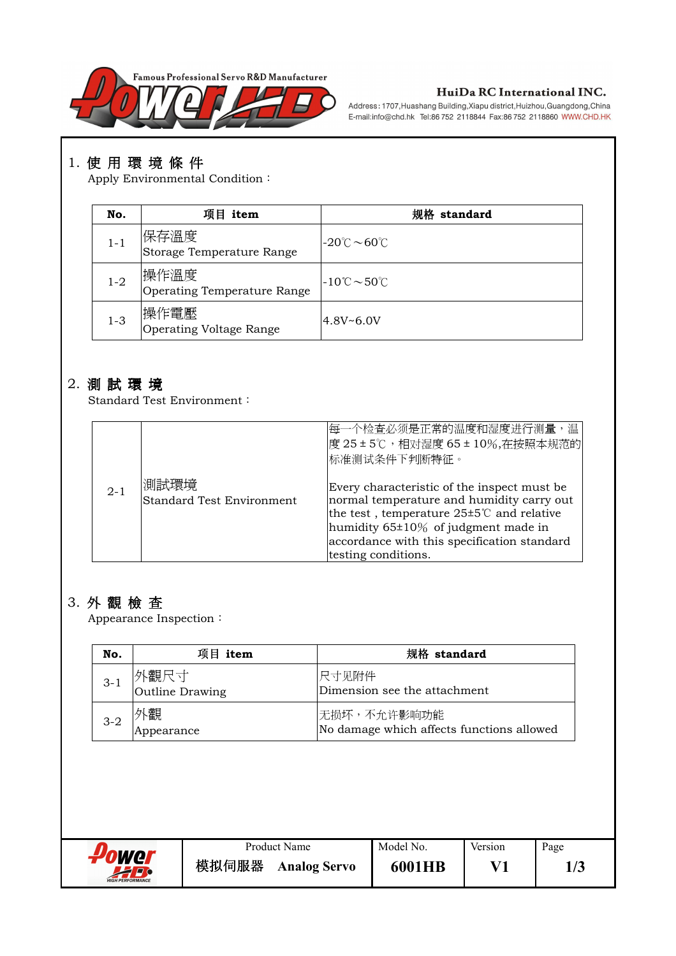

#### HuiDa RC International INC.

Address: 1707, Huashang Building, Xiapu district, Huizhou, Guangdong, China E-mail:info@chd.hk Tel:86 752 2118844 Fax:86 752 2118860 WWW.CHD.HK

# 1. 使用環境條件

Apply Environmental Condition:

| No.     | 项目 item                             | standard                                      |
|---------|-------------------------------------|-----------------------------------------------|
| $1 - 1$ | 保存溫度<br>Storage Temperature Range   | $-20^{\circ}$ C $\sim$ 60 $^{\circ}$ C        |
| $1 - 2$ | 操作溫度<br>Operating Temperature Range | $-10^{\circ}\text{C} \sim 50^{\circ}\text{C}$ |
| $1 - 3$ | 操作電壓<br>Operating Voltage Range     | $4.8V - 6.0V$                                 |

## 2. 測試環境

Standard Test Environment:

|         |                                          | 每一个检查必须是正常的温度和湿度进行测量,温<br>度 25±5℃,相对湿度 65±10%,在按照本规范的<br>标准测试条件下判断特征。                                                                                                                                                                                            |
|---------|------------------------------------------|------------------------------------------------------------------------------------------------------------------------------------------------------------------------------------------------------------------------------------------------------------------|
| $2 - 1$ | 測試環境<br><b>Standard Test Environment</b> | Every characteristic of the inspect must be<br>normal temperature and humidity carry out<br>the test, temperature $25\pm5\degree$ and relative<br>humidity $65\pm10\%$ of judgment made in<br>accordance with this specification standard<br>testing conditions. |

### 3. 外觀檢查

 $A$ ppearance Inspection :

| No.     | 项目<br>item                                                       | 规格 standard                                              |  |  |
|---------|------------------------------------------------------------------|----------------------------------------------------------|--|--|
| $3 - 1$ | 外觀尺寸<br>尺寸见附件<br>Dimension see the attachment<br>Outline Drawing |                                                          |  |  |
| $3 - 2$ | └觀<br>Appearance                                                 | 无损坏,不允许影响功能<br>No damage which affects functions allowed |  |  |

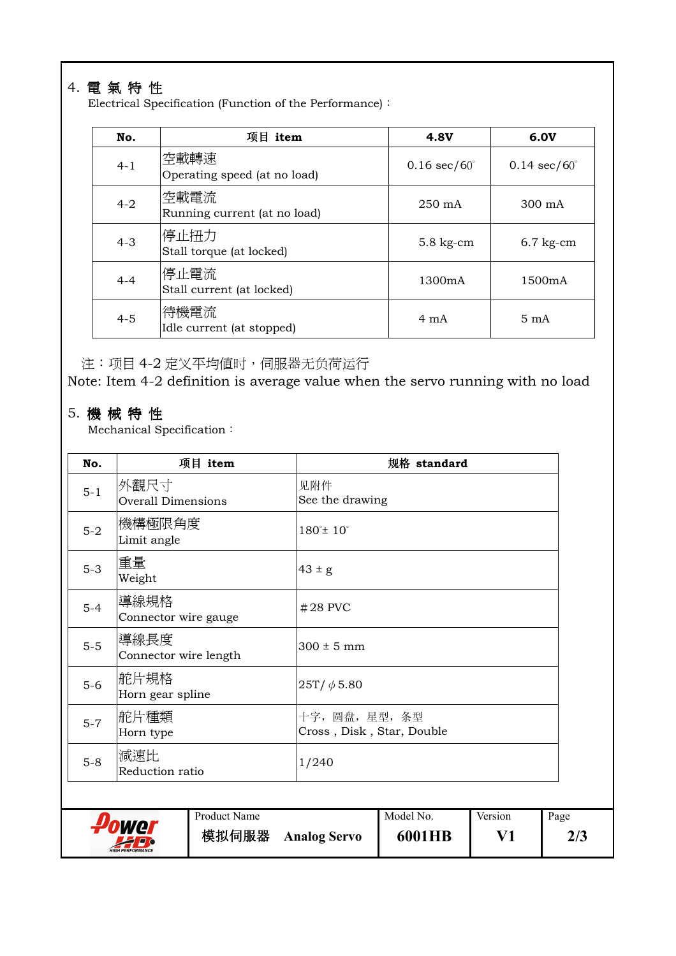# 4. 電氣特性

Electrical Specification (Function of the Performance):

| No.     | 项目 item                              | <b>4.8V</b>                   | 6.0V                          |
|---------|--------------------------------------|-------------------------------|-------------------------------|
| $4 - 1$ | 空載轉速<br>Operating speed (at no load) | $0.16 \text{ sec}/60^{\circ}$ | $0.14 \text{ sec}/60^{\circ}$ |
| $4 - 2$ | 空載電流<br>Running current (at no load) | $250 \text{ mA}$              | $300 \text{ mA}$              |
| $4 - 3$ | 停止扭力<br>Stall torque (at locked)     | $5.8$ kg-cm                   | $6.7$ kg-cm                   |
| $4 - 4$ | 停止電流<br>Stall current (at locked)    | 1300mA                        | 1500mA                        |
| $4 - 5$ | 待機電流<br>Idle current (at stopped)    | $4 \text{ mA}$                | $5 \text{ mA}$                |

注:项目4-2 定义平均值时,伺服器无负荷运行

Note: Item 4-2 definition is average value when the servo running with no load

### 5. 機械特性

Mechanical Specification :

| No.     | 项目 item                           | 规格 standard                                 |  |  |
|---------|-----------------------------------|---------------------------------------------|--|--|
| $5 - 1$ | 外觀尺寸<br><b>Overall Dimensions</b> | 见附件<br>See the drawing                      |  |  |
| $5-2$   | 機構極限角度 <br>Limit angle            | $180^{\circ}$ ± $10^{\circ}$                |  |  |
| $5-3$   | 重量<br>Weight                      | $43 \pm g$                                  |  |  |
| $5-4$   | 導線規格<br>Connector wire gauge      | $#28$ PVC                                   |  |  |
| $5-5$   | 導線長度<br>Connector wire length     | $300 \pm 5$ mm                              |  |  |
| $5-6$   | 舵片規格<br>Horn gear spline          | $25T/\phi$ 5.80                             |  |  |
| $5 - 7$ | 舵片種類 <br>Horn type                | 十字,圆盘,星型,条型<br>Cross, Disk, Star, Double    |  |  |
| $5-8$   | 減速比<br>Reduction ratio            | 1/240                                       |  |  |
|         |                                   |                                             |  |  |
|         | Product Name<br>Wel               | Model No.<br>Version<br>Page<br>$T$ $T$ $A$ |  |  |

**6001HB** 

**V1** 

**2/3** 

︸艾煙鶤殿 **Analog Servo**